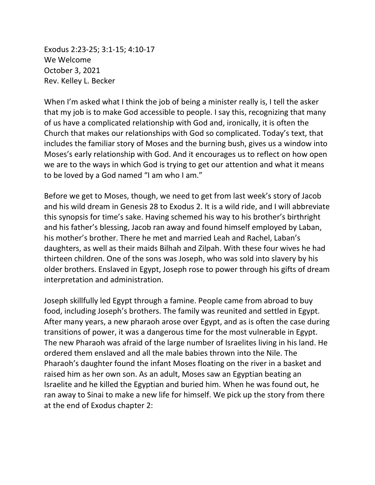Exodus 2:23-25; 3:1-15; 4:10-17 We Welcome October 3, 2021 Rev. Kelley L. Becker

When I'm asked what I think the job of being a minister really is, I tell the asker that my job is to make God accessible to people. I say this, recognizing that many of us have a complicated relationship with God and, ironically, it is often the Church that makes our relationships with God so complicated. Today's text, that includes the familiar story of Moses and the burning bush, gives us a window into Moses's early relationship with God. And it encourages us to reflect on how open we are to the ways in which God is trying to get our attention and what it means to be loved by a God named "I am who I am."

Before we get to Moses, though, we need to get from last week's story of Jacob and his wild dream in Genesis 28 to Exodus 2. It is a wild ride, and I will abbreviate this synopsis for time's sake. Having schemed his way to his brother's birthright and his father's blessing, Jacob ran away and found himself employed by Laban, his mother's brother. There he met and married Leah and Rachel, Laban's daughters, as well as their maids Bilhah and Zilpah. With these four wives he had thirteen children. One of the sons was Joseph, who was sold into slavery by his older brothers. Enslaved in Egypt, Joseph rose to power through his gifts of dream interpretation and administration.

Joseph skillfully led Egypt through a famine. People came from abroad to buy food, including Joseph's brothers. The family was reunited and settled in Egypt. After many years, a new pharaoh arose over Egypt, and as is often the case during transitions of power, it was a dangerous time for the most vulnerable in Egypt. The new Pharaoh was afraid of the large number of Israelites living in his land. He ordered them enslaved and all the male babies thrown into the Nile. The Pharaoh's daughter found the infant Moses floating on the river in a basket and raised him as her own son. As an adult, Moses saw an Egyptian beating an Israelite and he killed the Egyptian and buried him. When he was found out, he ran away to Sinai to make a new life for himself. We pick up the story from there at the end of Exodus chapter 2: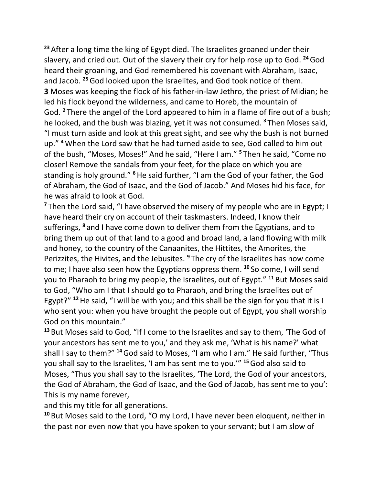**<sup>23</sup>** After a long time the king of Egypt died. The Israelites groaned under their slavery, and cried out. Out of the slavery their cry for help rose up to God. **<sup>24</sup>**God heard their groaning, and God remembered his covenant with Abraham, Isaac, and Jacob. **<sup>25</sup>**God looked upon the Israelites, and God took notice of them. **3** Moses was keeping the flock of his father-in-law Jethro, the priest of Midian; he led his flock beyond the wilderness, and came to Horeb, the mountain of God. **<sup>2</sup>** There the angel of the Lord appeared to him in a flame of fire out of a bush; he looked, and the bush was blazing, yet it was not consumed. **<sup>3</sup>** Then Moses said, "I must turn aside and look at this great sight, and see why the bush is not burned up." **<sup>4</sup>**When the Lord saw that he had turned aside to see, God called to him out of the bush, "Moses, Moses!" And he said, "Here I am." **<sup>5</sup>** Then he said, "Come no closer! Remove the sandals from your feet, for the place on which you are standing is holy ground." **<sup>6</sup>**He said further, "I am the God of your father, the God of Abraham, the God of Isaac, and the God of Jacob." And Moses hid his face, for he was afraid to look at God.

**<sup>7</sup>** Then the Lord said, "I have observed the misery of my people who are in Egypt; I have heard their cry on account of their taskmasters. Indeed, I know their sufferings, **<sup>8</sup>** and I have come down to deliver them from the Egyptians, and to bring them up out of that land to a good and broad land, a land flowing with milk and honey, to the country of the Canaanites, the Hittites, the Amorites, the Perizzites, the Hivites, and the Jebusites. **<sup>9</sup>** The cry of the Israelites has now come to me; I have also seen how the Egyptians oppress them. **<sup>10</sup>** So come, I will send you to Pharaoh to bring my people, the Israelites, out of Egypt." **<sup>11</sup>** But Moses said to God, "Who am I that I should go to Pharaoh, and bring the Israelites out of Egypt?" **<sup>12</sup>**He said, "I will be with you; and this shall be the sign for you that it is I who sent you: when you have brought the people out of Egypt, you shall worship God on this mountain."

**<sup>13</sup>** But Moses said to God, "If I come to the Israelites and say to them, 'The God of your ancestors has sent me to you,' and they ask me, 'What is his name?' what shall I say to them?" **<sup>14</sup>**God said to Moses, "I am who I am." He said further, "Thus you shall say to the Israelites, 'I am has sent me to you.'" **<sup>15</sup>**God also said to Moses, "Thus you shall say to the Israelites, 'The Lord, the God of your ancestors, the God of Abraham, the God of Isaac, and the God of Jacob, has sent me to you': This is my name forever,

and this my title for all generations.

**<sup>10</sup>** But Moses said to the Lord, "O my Lord, I have never been eloquent, neither in the past nor even now that you have spoken to your servant; but I am slow of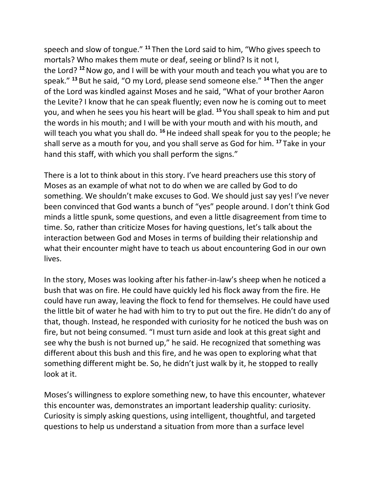speech and slow of tongue." **<sup>11</sup>** Then the Lord said to him, "Who gives speech to mortals? Who makes them mute or deaf, seeing or blind? Is it not I, the Lord? **<sup>12</sup>**Now go, and I will be with your mouth and teach you what you are to speak." **<sup>13</sup>** But he said, "O my Lord, please send someone else." **<sup>14</sup>** Then the anger of the Lord was kindled against Moses and he said, "What of your brother Aaron the Levite? I know that he can speak fluently; even now he is coming out to meet you, and when he sees you his heart will be glad. **<sup>15</sup>** You shall speak to him and put the words in his mouth; and I will be with your mouth and with his mouth, and will teach you what you shall do. <sup>16</sup>He indeed shall speak for you to the people; he shall serve as a mouth for you, and you shall serve as God for him. **<sup>17</sup>** Take in your hand this staff, with which you shall perform the signs."

There is a lot to think about in this story. I've heard preachers use this story of Moses as an example of what not to do when we are called by God to do something. We shouldn't make excuses to God. We should just say yes! I've never been convinced that God wants a bunch of "yes" people around. I don't think God minds a little spunk, some questions, and even a little disagreement from time to time. So, rather than criticize Moses for having questions, let's talk about the interaction between God and Moses in terms of building their relationship and what their encounter might have to teach us about encountering God in our own lives.

In the story, Moses was looking after his father-in-law's sheep when he noticed a bush that was on fire. He could have quickly led his flock away from the fire. He could have run away, leaving the flock to fend for themselves. He could have used the little bit of water he had with him to try to put out the fire. He didn't do any of that, though. Instead, he responded with curiosity for he noticed the bush was on fire, but not being consumed. "I must turn aside and look at this great sight and see why the bush is not burned up," he said. He recognized that something was different about this bush and this fire, and he was open to exploring what that something different might be. So, he didn't just walk by it, he stopped to really look at it.

Moses's willingness to explore something new, to have this encounter, whatever this encounter was, demonstrates an important leadership quality: curiosity. Curiosity is simply asking questions, using intelligent, thoughtful, and targeted questions to help us understand a situation from more than a surface level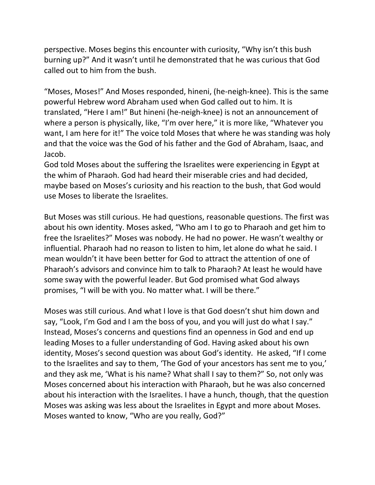perspective. Moses begins this encounter with curiosity, "Why isn't this bush burning up?" And it wasn't until he demonstrated that he was curious that God called out to him from the bush.

"Moses, Moses!" And Moses responded, hineni, (he-neigh-knee). This is the same powerful Hebrew word Abraham used when God called out to him. It is translated, "Here I am!" But hineni (he-neigh-knee) is not an announcement of where a person is physically, like, "I'm over here," it is more like, "Whatever you want, I am here for it!" The voice told Moses that where he was standing was holy and that the voice was the God of his father and the God of Abraham, Isaac, and Jacob.

God told Moses about the suffering the Israelites were experiencing in Egypt at the whim of Pharaoh. God had heard their miserable cries and had decided, maybe based on Moses's curiosity and his reaction to the bush, that God would use Moses to liberate the Israelites.

But Moses was still curious. He had questions, reasonable questions. The first was about his own identity. Moses asked, "Who am I to go to Pharaoh and get him to free the Israelites?" Moses was nobody. He had no power. He wasn't wealthy or influential. Pharaoh had no reason to listen to him, let alone do what he said. I mean wouldn't it have been better for God to attract the attention of one of Pharaoh's advisors and convince him to talk to Pharaoh? At least he would have some sway with the powerful leader. But God promised what God always promises, "I will be with you. No matter what. I will be there."

Moses was still curious. And what I love is that God doesn't shut him down and say, "Look, I'm God and I am the boss of you, and you will just do what I say." Instead, Moses's concerns and questions find an openness in God and end up leading Moses to a fuller understanding of God. Having asked about his own identity, Moses's second question was about God's identity. He asked, "If I come to the Israelites and say to them, 'The God of your ancestors has sent me to you,' and they ask me, 'What is his name? What shall I say to them?" So, not only was Moses concerned about his interaction with Pharaoh, but he was also concerned about his interaction with the Israelites. I have a hunch, though, that the question Moses was asking was less about the Israelites in Egypt and more about Moses. Moses wanted to know, "Who are you really, God?"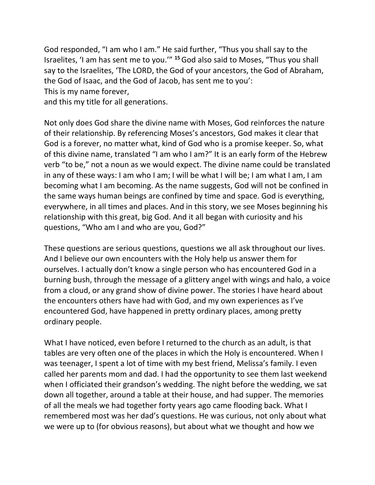God responded, "I am who I am." He said further, "Thus you shall say to the Israelites, 'I am has sent me to you.'" **<sup>15</sup>**God also said to Moses, "Thus you shall say to the Israelites, 'The LORD, the God of your ancestors, the God of Abraham, the God of Isaac, and the God of Jacob, has sent me to you': This is my name forever,

and this my title for all generations.

Not only does God share the divine name with Moses, God reinforces the nature of their relationship. By referencing Moses's ancestors, God makes it clear that God is a forever, no matter what, kind of God who is a promise keeper. So, what of this divine name, translated "I am who I am?" It is an early form of the Hebrew verb "to be," not a noun as we would expect. The divine name could be translated in any of these ways: I am who I am; I will be what I will be; I am what I am, I am becoming what I am becoming. As the name suggests, God will not be confined in the same ways human beings are confined by time and space. God is everything, everywhere, in all times and places. And in this story, we see Moses beginning his relationship with this great, big God. And it all began with curiosity and his questions, "Who am I and who are you, God?"

These questions are serious questions, questions we all ask throughout our lives. And I believe our own encounters with the Holy help us answer them for ourselves. I actually don't know a single person who has encountered God in a burning bush, through the message of a glittery angel with wings and halo, a voice from a cloud, or any grand show of divine power. The stories I have heard about the encounters others have had with God, and my own experiences as I've encountered God, have happened in pretty ordinary places, among pretty ordinary people.

What I have noticed, even before I returned to the church as an adult, is that tables are very often one of the places in which the Holy is encountered. When I was teenager, I spent a lot of time with my best friend, Melissa's family. I even called her parents mom and dad. I had the opportunity to see them last weekend when I officiated their grandson's wedding. The night before the wedding, we sat down all together, around a table at their house, and had supper. The memories of all the meals we had together forty years ago came flooding back. What I remembered most was her dad's questions. He was curious, not only about what we were up to (for obvious reasons), but about what we thought and how we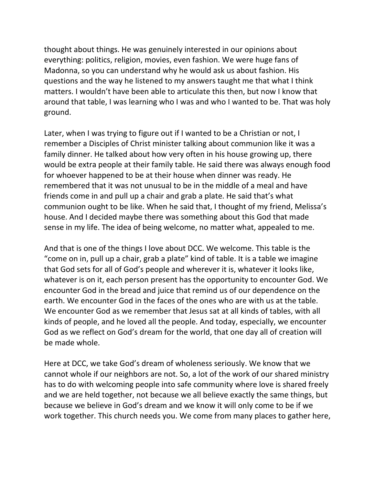thought about things. He was genuinely interested in our opinions about everything: politics, religion, movies, even fashion. We were huge fans of Madonna, so you can understand why he would ask us about fashion. His questions and the way he listened to my answers taught me that what I think matters. I wouldn't have been able to articulate this then, but now I know that around that table, I was learning who I was and who I wanted to be. That was holy ground.

Later, when I was trying to figure out if I wanted to be a Christian or not, I remember a Disciples of Christ minister talking about communion like it was a family dinner. He talked about how very often in his house growing up, there would be extra people at their family table. He said there was always enough food for whoever happened to be at their house when dinner was ready. He remembered that it was not unusual to be in the middle of a meal and have friends come in and pull up a chair and grab a plate. He said that's what communion ought to be like. When he said that, I thought of my friend, Melissa's house. And I decided maybe there was something about this God that made sense in my life. The idea of being welcome, no matter what, appealed to me.

And that is one of the things I love about DCC. We welcome. This table is the "come on in, pull up a chair, grab a plate" kind of table. It is a table we imagine that God sets for all of God's people and wherever it is, whatever it looks like, whatever is on it, each person present has the opportunity to encounter God. We encounter God in the bread and juice that remind us of our dependence on the earth. We encounter God in the faces of the ones who are with us at the table. We encounter God as we remember that Jesus sat at all kinds of tables, with all kinds of people, and he loved all the people. And today, especially, we encounter God as we reflect on God's dream for the world, that one day all of creation will be made whole.

Here at DCC, we take God's dream of wholeness seriously. We know that we cannot whole if our neighbors are not. So, a lot of the work of our shared ministry has to do with welcoming people into safe community where love is shared freely and we are held together, not because we all believe exactly the same things, but because we believe in God's dream and we know it will only come to be if we work together. This church needs you. We come from many places to gather here,